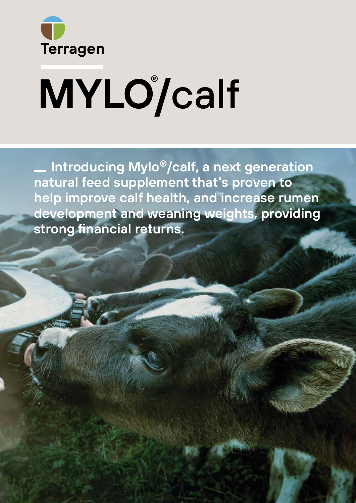

# **MYLO/**calf ®

 **Introducing Mylo®/calf, a next generation natural feed supplement that's proven to help improve calf health, and increase rumen development and weaning weights, providing strong financial returns.**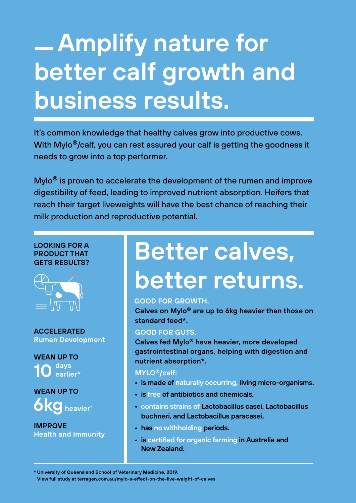# **Amplify nature for better calf growth and business results.**

It's common knowledge that healthy calves grow into productive cows. With Mylo<sup>®</sup>/calf, you can rest assured your calf is getting the goodness it needs to grow into a top performer.

Mylo® is proven to accelerate the development of the rumen and improve digestibility of feed, leading to improved nutrient absorption. Heifers that reach their target liveweights will have the best chance of reaching their milk production and reproductive potential.

## **LOOKING FOR A PRODUCT THAT GETS RESULTS?**



**ACCELERATED Rumen Development**

**WEAN UP TO days earlier\* 10**

**WEAN UP TO heavier\* 6kg**

**IMPROVE Health and Immunity**

# **Better calves, better returns.**

# **GOOD FOR GROWTH.**

**Calves on Mylo® are up to 6kg heavier than those on standard feed\*.**

# **GOOD FOR GUTS.**

**Calves fed Mylo® have heavier, more developed gastrointestinal organs, helping with digestion and nutrient absorption\*.**

# **MYLO®/calf:**

- **is made of naturally occurring, living micro-organisms.**
- **• is free of antibiotics and chemicals.**
- **• contains strains of Lactobacillus casei, Lactobacillus buchneri, and Lactobacillus paracasei.**
- **• has no withholding periods.**
- **• is certified for organic farming in Australia and New Zealand.**

**\* University of Queensland School of Veterinary Medicine, 2019.** 

**View full study at terragen.com.au/mylo-s-effect-on-the-live-weight-of-calves**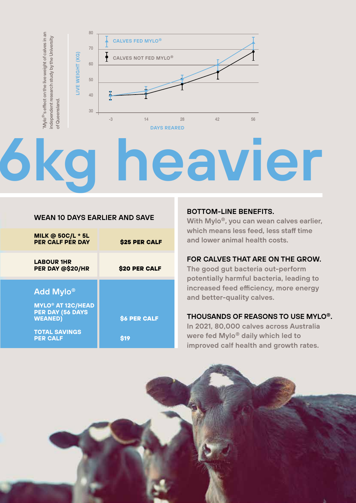

# **6kg heavier**

## **WEAN 10 DAYS EARLIER AND SAVE**

| <b>MILK @ 50C/L * 5L</b><br><b>PER CALF PER DAY</b>                       | <b>\$25 PER CALF</b> |
|---------------------------------------------------------------------------|----------------------|
| <b>LABOUR 1HR</b><br>PER DAY @\$20/HR                                     | \$20 PER CALF        |
| <b>Add Mylo®</b>                                                          |                      |
| <b>MYLO<sup>®</sup> AT 12C/HEAD</b><br>PER DAY (56 DAYS<br><b>WEANED)</b> | <b>\$6 PER CALF</b>  |
| <b>TOTAL SAVINGS</b><br><b>PER CALF</b>                                   | S19                  |

### **BOTTOM-LINE BENEFITS.**

**With Mylo®, you can wean calves earlier, which means less feed, less staff time and lower animal health costs.** 

# **FOR CALVES THAT ARE ON THE GROW.**

**The good gut bacteria out-perform potentially harmful bacteria, leading to increased feed efficiency, more energy and better-quality calves.** 

### **THOUSANDS OF REASONS TO USE MYLO®.**

**In 2021, 80,000 calves across Australia were fed Mylo® daily which led to improved calf health and growth rates.** 

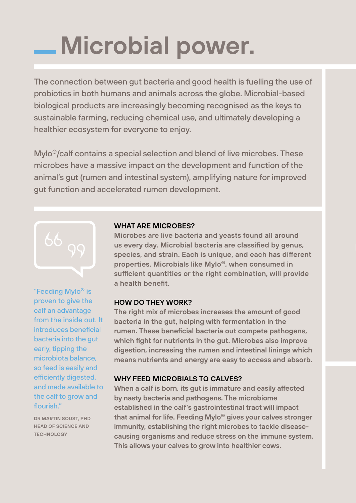# **Microbial power.**

The connection between gut bacteria and good health is fuelling the use of probiotics in both humans and animals across the globe. Microbial-based biological products are increasingly becoming recognised as the keys to sustainable farming, reducing chemical use, and ultimately developing a healthier ecosystem for everyone to enjoy.

Mylo®/calf contains a special selection and blend of live microbes. These microbes have a massive impact on the development and function of the animal's gut (rumen and intestinal system), amplifying nature for improved gut function and accelerated rumen development.



"Feeding Mylo® is proven to give the calf an advantage from the inside out. It introduces beneficial bacteria into the gut early, tipping the microbiota balance, so feed is easily and efficiently digested, and made available to the calf to grow and flourish."

**DR MARTIN SOUST, PHD HEAD OF SCIENCE AND TECHNOLOGY**

### **WHAT ARE MICROBES?**

**Microbes are live bacteria and yeasts found all around us every day. Microbial bacteria are classified by genus, species, and strain. Each is unique, and each has different properties. Microbials like Mylo®, when consumed in sufficient quantities or the right combination, will provide a health benefit.**

# **HOW DO THEY WORK?**

**The right mix of microbes increases the amount of good bacteria in the gut, helping with fermentation in the rumen. These beneficial bacteria out compete pathogens, which fight for nutrients in the gut. Microbes also improve digestion, increasing the rumen and intestinal linings which means nutrients and energy are easy to access and absorb.**

# **WHY FEED MICROBIALS TO CALVES?**

**When a calf is born, its gut is immature and easily affected by nasty bacteria and pathogens. The microbiome established in the calf's gastrointestinal tract will impact that animal for life. Feeding Mylo® gives your calves stronger immunity, establishing the right microbes to tackle diseasecausing organisms and reduce stress on the immune system. This allows your calves to grow into healthier cows.**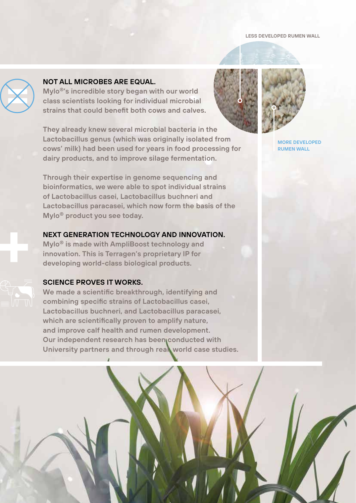#### **LESS DEVELOPED RUMEN WALL**



**+**

# NOT ALL MICROBES ARE EQUAL. **RE EQUAL.**

**Mylo®'s incredible story began with our world The state of Mylo on State of Mylo on State of Mylo on State of Mylo on Veranni State of Mylo on Veranni State of My** strains that could benefit both cows and calves.

**They already knew several microbial bacteria in the microphone micropy of the micropy of micropy of micropy of**  $\mathbf{r}$ **Lactobacillus genus (which was originally isolated from cows' milk) had been used for years in food processing for**<br>dairy products, and to improve silage fermentation dairy products, and to improve silage fermentation.<br>————————————————————

**Through their expertise in genome sequencing and bioinformatics, we were able to spot individual strains of Lactobacillus casei, Lactobacillus buchneri and Lactobacillus paracasei, which now form the basis of the Mylo® product you see today. The effect of Mylo on VFA's and ammonia profiles** Mylo animals. Mylo animals produced more ammonia,

## **NEXT GENERATION TECHNOLOGY AND INNOVATION.**

**Mylo® is made with AmpliBoost technology and innovation. This is Terragen's proprietary IP for developing world-class biological products.**

### **SCIENCE PROVES IT WORKS.**

**We made a scientific breakthrough, identifying and combining specific strains of Lactobacillus casei, Lactobacillus buchneri, and Lactobacillus paracasei, which are scientifically proven to amplify nature, and improve calf health and rumen development. Our independent research has been conducted with University partners and through real world case studies.**





**MORE DEVELOPED RUMEN WALL**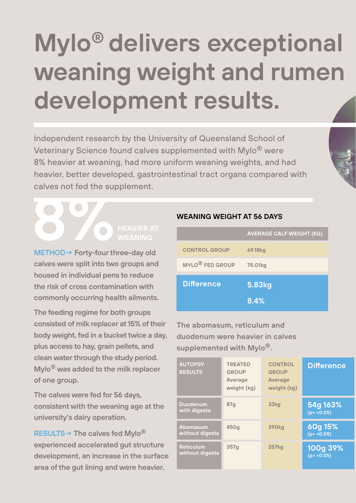# **Mylo® delivers exceptional weaning weight and rumen development results.**

Independent research by the University of Queensland School of Veterinary Science found calves supplemented with Mylo® were 8% heavier at weaning, had more uniform weaning weights, and had heavier, better developed, gastrointestinal tract organs compared with calves not fed the supplement.

# **8 DEAVIER AT**<br> **8 HEAVIER AT**<br> **METHOD** > Forth fourthmendsuck **WEANING**

**METHOD→ Forty-four three-day old calves were split into two groups and housed in individual pens to reduce the risk of cross contamination with commonly occurring health ailments.**

**The feeding regime for both groups consisted of milk replacer at 15% of their body weight, fed in a bucket twice a day, plus access to hay, grain pellets, and clean water through the study period. Mylo® was added to the milk replacer of one group.**

**The calves were fed for 56 days, consistent with the weaning age at the university's dairy operation.**

**RESULTS→ The calves fed Mylo® experienced accelerated gut structure development, an increase in the surface area of the gut lining and were heavier.**

# **WEANING WEIGHT AT 56 DAYS**

|                             | <b>AVERAGE CALF WEIGHT (KG)</b> |
|-----------------------------|---------------------------------|
| <b>CONTROL GROUP</b>        | 69.18 <sub>kg</sub>             |
| MYLO <sup>®</sup> FED GROUP | 75.01 <sub>kg</sub>             |
| <b>Difference</b>           | 5.83kg                          |
|                             | 8.4%                            |

**The abomasum, reticulum and duodenum were heavier in calves supplemented with Mylo®.**

| <b>AUTOPSY</b><br><b>RESULTS</b>    | <b>TREATED</b><br><b>GROUP</b><br>Average<br>weight (kg) | <b>CONTROL</b><br><b>GROUP</b><br><b>Average</b><br>weight (kg) | <b>Difference</b>        |
|-------------------------------------|----------------------------------------------------------|-----------------------------------------------------------------|--------------------------|
| <b>Duodenum</b><br>with digesta     | 87 <sub>q</sub>                                          | 33 <sub>kg</sub>                                                | 54g 163%<br>$(p = 0.05)$ |
| <b>Abomasum</b><br>without digesta  | 450g                                                     | <b>390kg</b>                                                    | 60g 15%<br>$(p = 0.05)$  |
| <b>Reticulum</b><br>without digesta | 357 <sub>q</sub>                                         | <b>257kg</b>                                                    | 100g 39%<br>$(p = 0.05)$ |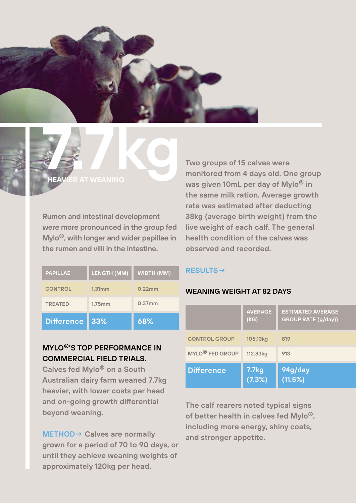



**Rumen and intestinal development were more pronounced in the group fed Mylo®, with longer and wider papillae in the rumen and villi in the intestine.**

| <b>PAPILLAE</b>   | <b>LENGTH (MM)</b> | <b>WIDTH (MM)</b> |
|-------------------|--------------------|-------------------|
| <b>CONTROL</b>    | 1.31mm             | 0.22mm            |
| <b>TREATED</b>    | 1.75mm             | $0.37$ mm         |
| <b>Difference</b> | 33%                | 68%               |

# **MYLO®'S TOP PERFORMANCE IN COMMERCIAL FIELD TRIALS.**

**Calves fed Mylo® on a South Australian dairy farm weaned 7.7kg heavier, with lower costs per head and on-going growth differential beyond weaning.** 

**METHOD→ Calves are normally grown for a period of 70 to 90 days, or until they achieve weaning weights of approximately 120kg per head.** 

**Two groups of 15 calves were monitored from 4 days old. One group was given 10mL per day of Mylo® in the same milk ration. Average growth rate was estimated after deducting 38kg (average birth weight) from the live weight of each calf. The general health condition of the calves was observed and recorded.**

# **RESULTS→**

# **WEANING WEIGHT AT 82 DAYS**

|                             | <b>AVERAGE</b><br>(KG)      | <b>ESTIMATED AVERAGE</b><br><b>GROUP RATE (g/day))</b> |
|-----------------------------|-----------------------------|--------------------------------------------------------|
| <b>CONTROL GROUP</b>        | 105.13 <sub>kg</sub>        | 819                                                    |
| MYLO <sup>®</sup> FED GROUP | 112.83kg                    | 913                                                    |
| <b>Difference</b>           | 7.7 <sub>kg</sub><br>(7.3%) | 94g/day<br>(11.5%)                                     |

**The calf rearers noted typical signs of better health in calves fed Mylo®, including more energy, shiny coats, and stronger appetite.**